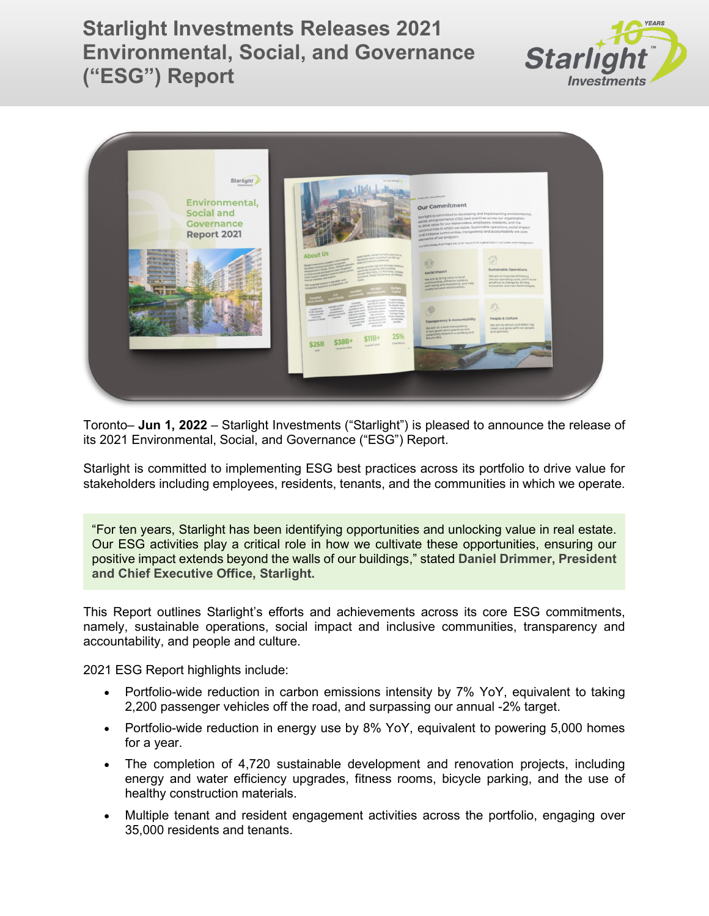**Starlight Investments Releases 2021 Environmental, Social, and Governance ("ESG") Report**





Toronto– **Jun 1, 2022** – Starlight Investments ("Starlight") is pleased to announce the release of its 2021 Environmental, Social, and Governance ("ESG") Report.

Starlight is committed to implementing ESG best practices across its portfolio to drive value for stakeholders including employees, residents, tenants, and the communities in which we operate.

"For ten years, Starlight has been identifying opportunities and unlocking value in real estate. Our ESG activities play a critical role in how we cultivate these opportunities, ensuring our positive impact extends beyond the walls of our buildings," stated **Daniel Drimmer, President and Chief Executive Office, Starlight.**

This Report outlines Starlight's efforts and achievements across its core ESG commitments, namely, sustainable operations, social impact and inclusive communities, transparency and accountability, and people and culture.

2021 ESG Report highlights include:

- Portfolio-wide reduction in carbon emissions intensity by 7% YoY, equivalent to taking 2,200 passenger vehicles off the road, and surpassing our annual -2% target.
- Portfolio-wide reduction in energy use by 8% YoY, equivalent to powering 5,000 homes for a year.
- The completion of 4,720 sustainable development and renovation projects, including energy and water efficiency upgrades, fitness rooms, bicycle parking, and the use of healthy construction materials.
- Multiple tenant and resident engagement activities across the portfolio, engaging over 35,000 residents and tenants.